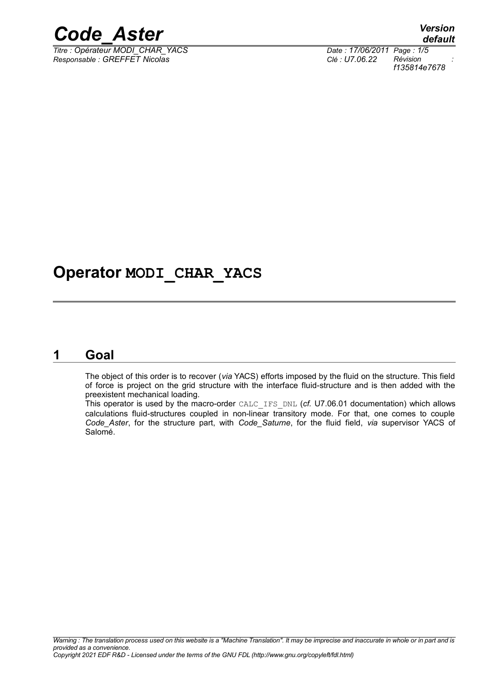

*Titre : Opérateur MODI\_CHAR\_YACS Date : 17/06/2011 Page : 1/5 Responsable : GREFFET Nicolas Clé : U7.06.22 Révision :*

*default f135814e7678*

### **Operator MODI\_CHAR\_YACS**

#### **1 Goal**

The object of this order is to recover (*via* YACS) efforts imposed by the fluid on the structure. This field of force is project on the grid structure with the interface fluid-structure and is then added with the preexistent mechanical loading.

This operator is used by the macro-order CALC\_IFS\_DNL (*cf.* U7.06.01 documentation) which allows calculations fluid-structures coupled in non-linear transitory mode. For that, one comes to couple *Code\_Aster*, for the structure part, with *Code\_Saturne*, for the fluid field, *via* supervisor YACS of Salomé.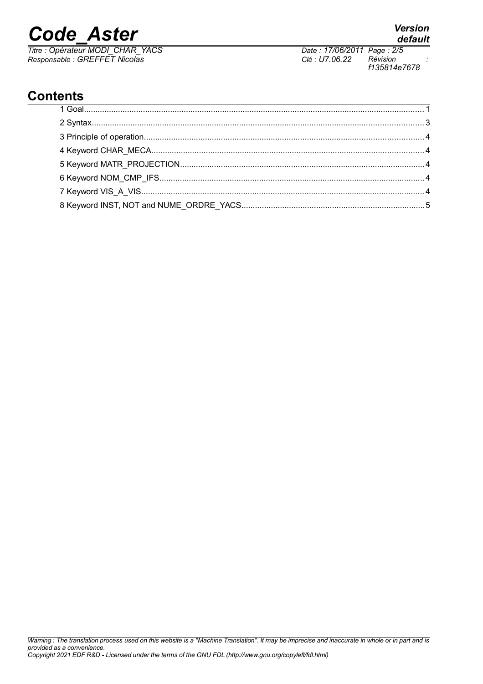*Titre : Opérateur MODI\_CHAR\_YACS Date : 17/06/2011 Page : 2/5 Responsable : GREFFET Nicolas Clé : U7.06.22 Révision :*

*Warning : The translation process used on this website is a "Machine Translation". It may be imprecise and inaccurate in whole or in part and is provided as a convenience. Copyright 2021 EDF R&D - Licensed under the terms of the GNU FDL (http://www.gnu.org/copyleft/fdl.html)*

#### **Contents**

*f135814e7678*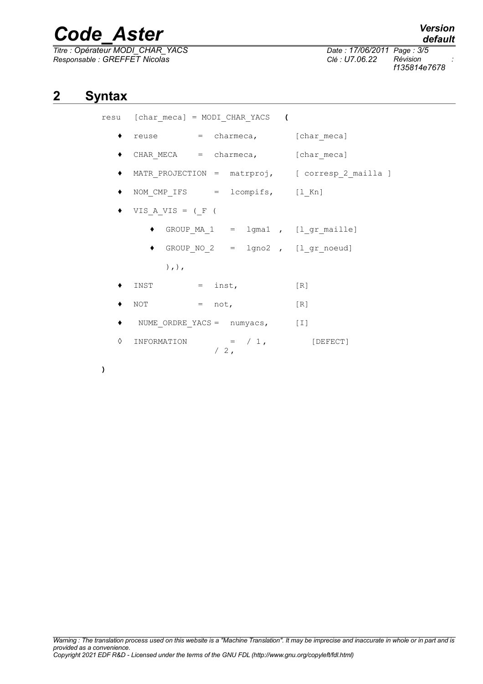*Titre : Opérateur MODI\_CHAR\_YACS Date : 17/06/2011 Page : 3/5 Responsable : GREFFET Nicolas Clé : U7.06.22 Révision :*

|   | resu [char meca] = MODI CHAR YACS (          |        |                                                  |
|---|----------------------------------------------|--------|--------------------------------------------------|
|   | reuse = charmeca, [char meca]                |        |                                                  |
|   | $\bullet$ CHAR MECA = charmeca, [char meca]  |        |                                                  |
|   |                                              |        | MATR PROJECTION = matrproj, [ corresp 2 mailla ] |
|   | • NOM_CMP_IFS = lcompifs, [1 Kn]             |        |                                                  |
|   | $\blacklozenge$ VIS A VIS = ( F (            |        |                                                  |
|   |                                              |        | $GROUP_MA_1 = 1$ gmal, $[1_gr_mail]$             |
|   | ◆ GROUP NO $2 = \text{lgno2}$ , [l gr noeud] |        |                                                  |
|   | $),$ , $)$ ,                                 |        |                                                  |
|   | $=$ inst,<br>INST                            |        | [R]                                              |
|   | $NOT = not,$                                 |        | [R]                                              |
|   | • NUME ORDRE YACS = numyacs, [I]             |        |                                                  |
| ♦ | INFORMATION = $/ 1$ ,                        | $/2$ , | [DEFECT]                                         |

**)**

**2 Syntax**

*f135814e7678*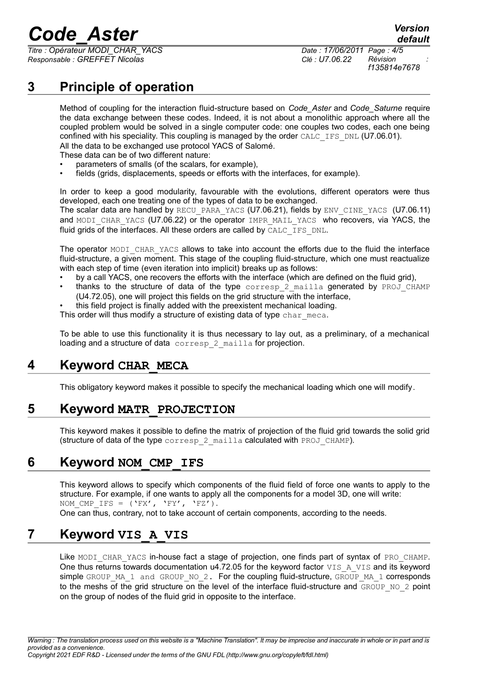*Titre : Opérateur MODI\_CHAR\_YACS Date : 17/06/2011 Page : 4/5 Responsable : GREFFET Nicolas Clé : U7.06.22 Révision :*

*f135814e7678*

*default*

#### **3 Principle of operation**

Method of coupling for the interaction fluid-structure based on *Code\_Aster* and *Code\_Saturne* require the data exchange between these codes. Indeed, it is not about a monolithic approach where all the coupled problem would be solved in a single computer code: one couples two codes, each one being confined with his speciality. This coupling is managed by the order CALC\_IFS\_DNL (U7.06.01). All the data to be exchanged use protocol YACS of Salomé.

These data can be of two different nature:

- parameters of smalls (of the scalars, for example),
- fields (grids, displacements, speeds or efforts with the interfaces, for example).

In order to keep a good modularity, favourable with the evolutions, different operators were thus developed, each one treating one of the types of data to be exchanged. The scalar data are handled by RECU\_PARA\_YACS (U7.06.21), fields by ENV\_CINE\_YACS (U7.06.11) and MODI CHAR YACS (U7.06.22) or the operator IMPR\_MAIL\_YACS who recovers, via YACS, the fluid grids of the interfaces. All these orders are called by  $CALC$  IFS DNL.

The operator MODI CHAR YACS allows to take into account the efforts due to the fluid the interface fluid-structure, a given moment. This stage of the coupling fluid-structure, which one must reactualize with each step of time (even iteration into implicit) breaks up as follows:

- by a call YACS, one recovers the efforts with the interface (which are defined on the fluid grid),
- thanks to the structure of data of the type  $\frac{1}{2}$  mailla generated by PROJ CHAMP (U4.72.05), one will project this fields on the grid structure with the interface,
- this field project is finally added with the preexistent mechanical loading.

This order will thus modify a structure of existing data of type char meca.

To be able to use this functionality it is thus necessary to lay out, as a preliminary, of a mechanical loading and a structure of data corresp 2 mailla for projection.

#### **4 Keyword CHAR\_MECA**

This obligatory keyword makes it possible to specify the mechanical loading which one will modify.

#### **5 Keyword MATR\_PROJECTION**

This keyword makes it possible to define the matrix of projection of the fluid grid towards the solid grid (structure of data of the type corresp 2 mailla calculated with PROJ CHAMP).

#### **6 Keyword NOM\_CMP\_IFS**

This keyword allows to specify which components of the fluid field of force one wants to apply to the structure. For example, if one wants to apply all the components for a model 3D, one will write: NOM CMP IFS = ('FX', 'FY', 'FZ'). One can thus, contrary, not to take account of certain components, according to the needs.

#### **7 Keyword VIS\_A\_VIS**

Like MODI CHAR YACS in-house fact a stage of projection, one finds part of syntax of PRO CHAMP. One thus returns towards documentation u4.72.05 for the keyword factor VIS A VIS and its keyword simple GROUP\_MA\_1 and GROUP\_NO\_2. For the coupling fluid-structure, GROUP\_MA\_1 corresponds to the meshs of the grid structure on the level of the interface fluid-structure and GROUP\_NO\_2 point on the group of nodes of the fluid grid in opposite to the interface.